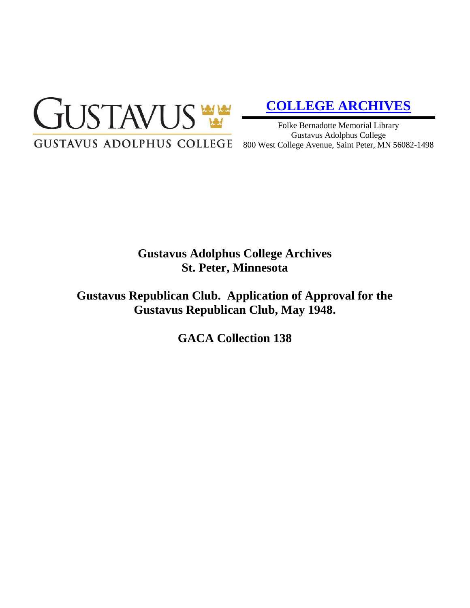

# **[COLLEGE ARCHIVES](http://gustavus.edu/academics/library/archives/)**

Folke Bernadotte Memorial Library Gustavus Adolphus College 800 West College Avenue, Saint Peter, MN 56082-1498

# **Gustavus Adolphus College Archives St. Peter, Minnesota**

**Gustavus Republican Club. Application of Approval for the Gustavus Republican Club, May 1948.**

**GACA Collection 138**